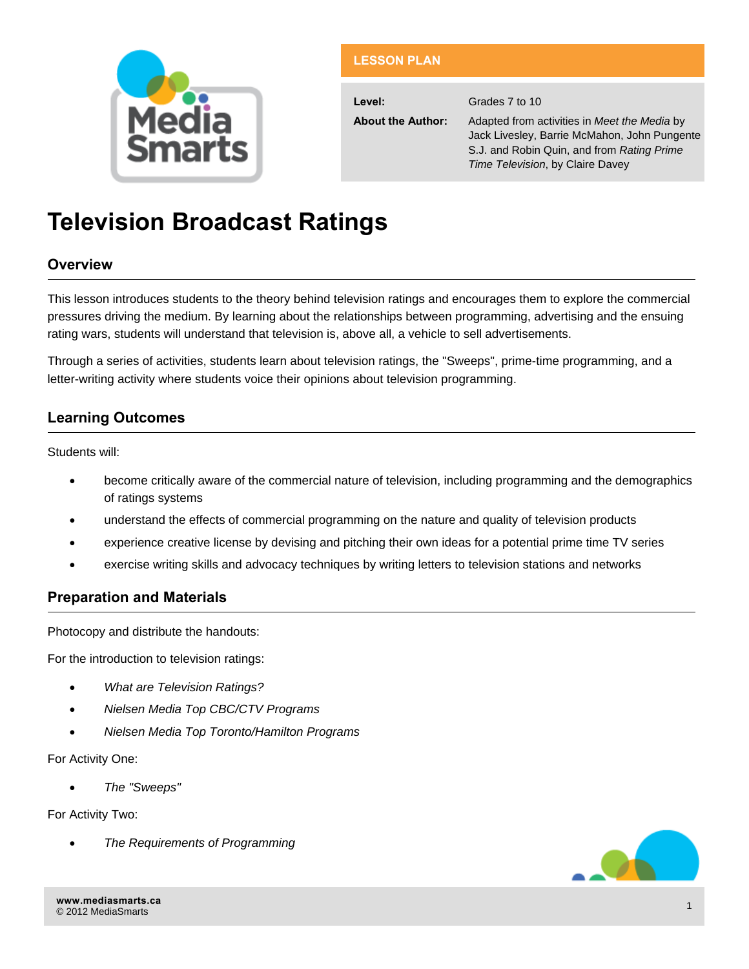

# **LESSON PLAN**

**Level:** Grades 7 to 10

**About the Author:** Adapted from activities in *Meet the Media* by Jack Livesley, Barrie McMahon, John Pungente S.J. and Robin Quin, and from *Rating Prime Time Television*, by Claire Davey

# **Television Broadcast Ratings**

# **Overview**

This lesson introduces students to the theory behind television ratings and encourages them to explore the commercial pressures driving the medium. By learning about the relationships between programming, advertising and the ensuing rating wars, students will understand that television is, above all, a vehicle to sell advertisements.

Through a series of activities, students learn about television ratings, the "Sweeps", prime-time programming, and a letter-writing activity where students voice their opinions about television programming.

# **Learning Outcomes**

Students will:

- become critically aware of the commercial nature of television, including programming and the demographics of ratings systems
- understand the effects of commercial programming on the nature and quality of television products
- experience creative license by devising and pitching their own ideas for a potential prime time TV series
- exercise writing skills and advocacy techniques by writing letters to television stations and networks

# **Preparation and Materials**

Photocopy and distribute the handouts:

For the introduction to television ratings:

- *What are Television Ratings?*
- *Nielsen Media Top CBC/CTV Programs*
- *Nielsen Media Top Toronto/Hamilton Programs*

For Activity One:

*The "Sweeps"* 

For Activity Two:

*The Requirements of Programming* 

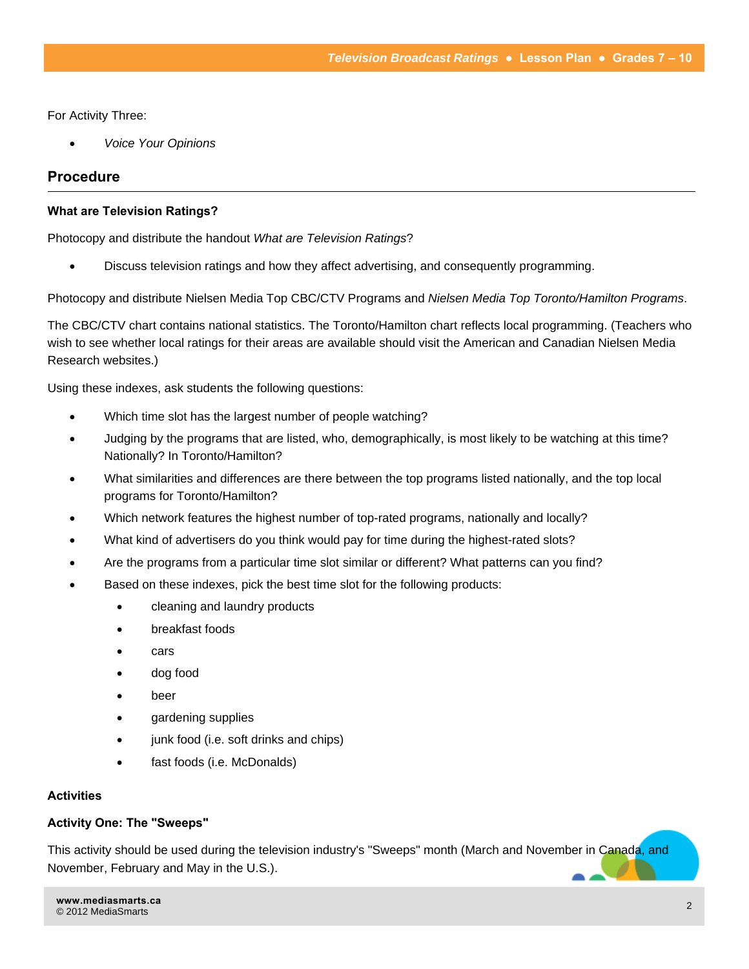For Activity Three:

*Voice Your Opinions* 

## **Procedure**

#### **What are Television Ratings?**

Photocopy and distribute the handout *What are Television Ratings*?

Discuss television ratings and how they affect advertising, and consequently programming.

Photocopy and distribute Nielsen Media Top CBC/CTV Programs and *Nielsen Media Top Toronto/Hamilton Programs*.

The CBC/CTV chart contains national statistics. The Toronto/Hamilton chart reflects local programming. (Teachers who wish to see whether local ratings for their areas are available should visit the American and Canadian Nielsen Media Research websites.)

Using these indexes, ask students the following questions:

- Which time slot has the largest number of people watching?
- Judging by the programs that are listed, who, demographically, is most likely to be watching at this time? Nationally? In Toronto/Hamilton?
- What similarities and differences are there between the top programs listed nationally, and the top local programs for Toronto/Hamilton?
- Which network features the highest number of top-rated programs, nationally and locally?
- What kind of advertisers do you think would pay for time during the highest-rated slots?
- Are the programs from a particular time slot similar or different? What patterns can you find?
- Based on these indexes, pick the best time slot for the following products:
	- cleaning and laundry products
	- breakfast foods
	- cars
	- dog food
	- beer
	- gardening supplies
	- junk food (i.e. soft drinks and chips)
	- fast foods (i.e. McDonalds)

#### **Activities**

#### **Activity One: The "Sweeps"**

This activity should be used during the television industry's "Sweeps" month (March and November in Canada, and November, February and May in the U.S.).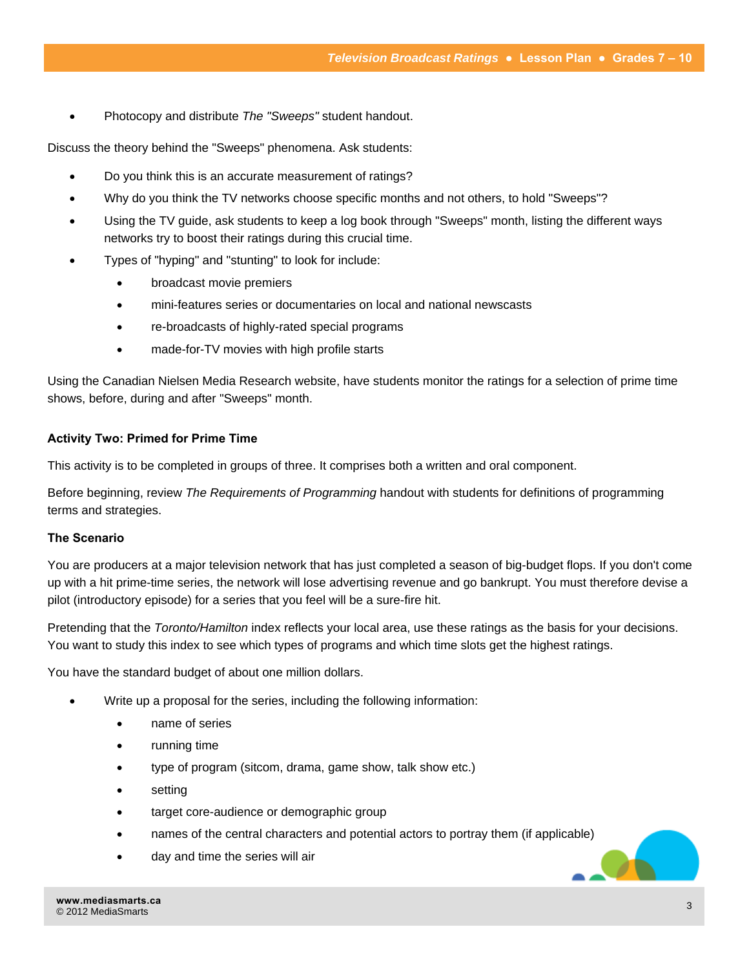Photocopy and distribute *The "Sweeps"* student handout.

Discuss the theory behind the "Sweeps" phenomena. Ask students:

- Do you think this is an accurate measurement of ratings?
- Why do you think the TV networks choose specific months and not others, to hold "Sweeps"?
- Using the TV guide, ask students to keep a log book through "Sweeps" month, listing the different ways networks try to boost their ratings during this crucial time.
- Types of "hyping" and "stunting" to look for include:
	- broadcast movie premiers
	- mini-features series or documentaries on local and national newscasts
	- re-broadcasts of highly-rated special programs
	- made-for-TV movies with high profile starts

Using the Canadian Nielsen Media Research website, have students monitor the ratings for a selection of prime time shows, before, during and after "Sweeps" month.

#### **Activity Two: Primed for Prime Time**

This activity is to be completed in groups of three. It comprises both a written and oral component.

Before beginning, review *The Requirements of Programming* handout with students for definitions of programming terms and strategies.

#### **The Scenario**

You are producers at a major television network that has just completed a season of big-budget flops. If you don't come up with a hit prime-time series, the network will lose advertising revenue and go bankrupt. You must therefore devise a pilot (introductory episode) for a series that you feel will be a sure-fire hit.

Pretending that the *Toronto/Hamilton* index reflects your local area, use these ratings as the basis for your decisions. You want to study this index to see which types of programs and which time slots get the highest ratings.

You have the standard budget of about one million dollars.

- Write up a proposal for the series, including the following information:
	- name of series
	- running time
	- type of program (sitcom, drama, game show, talk show etc.)
	- setting
	- target core-audience or demographic group
	- names of the central characters and potential actors to portray them (if applicable)
	- day and time the series will air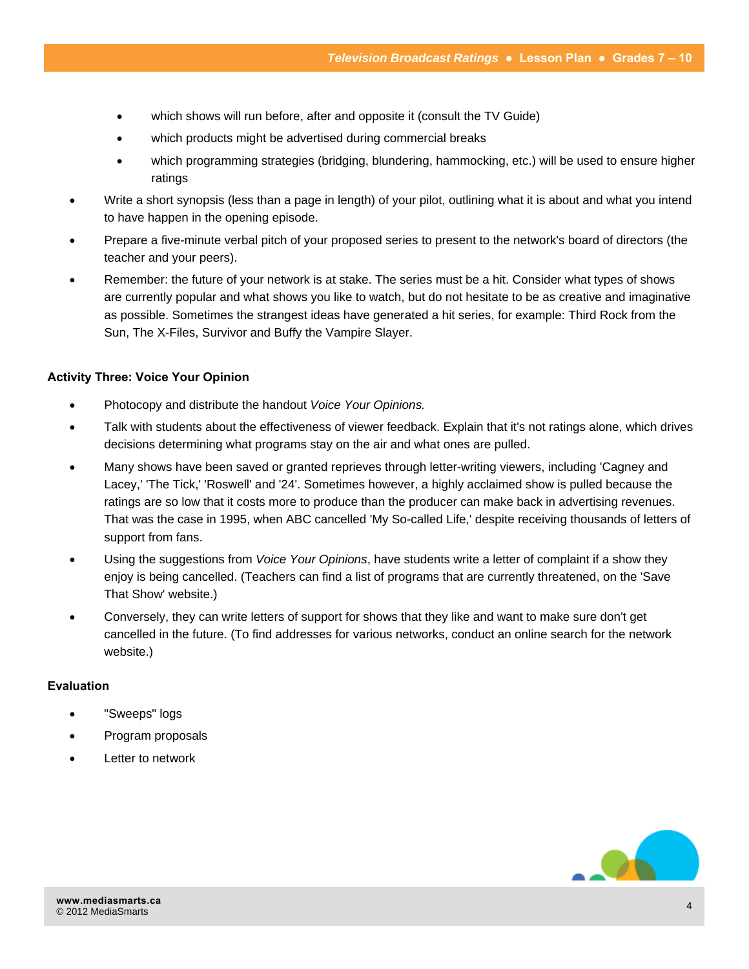- which shows will run before, after and opposite it (consult the TV Guide)
- which products might be advertised during commercial breaks
- which programming strategies (bridging, blundering, hammocking, etc.) will be used to ensure higher ratings
- Write a short synopsis (less than a page in length) of your pilot, outlining what it is about and what you intend to have happen in the opening episode.
- Prepare a five-minute verbal pitch of your proposed series to present to the network's board of directors (the teacher and your peers).
- Remember: the future of your network is at stake. The series must be a hit. Consider what types of shows are currently popular and what shows you like to watch, but do not hesitate to be as creative and imaginative as possible. Sometimes the strangest ideas have generated a hit series, for example: Third Rock from the Sun, The X-Files, Survivor and Buffy the Vampire Slayer.

#### **Activity Three: Voice Your Opinion**

- Photocopy and distribute the handout *Voice Your Opinions.*
- Talk with students about the effectiveness of viewer feedback. Explain that it's not ratings alone, which drives decisions determining what programs stay on the air and what ones are pulled.
- Many shows have been saved or granted reprieves through letter-writing viewers, including 'Cagney and Lacey,' 'The Tick,' 'Roswell' and '24'. Sometimes however, a highly acclaimed show is pulled because the ratings are so low that it costs more to produce than the producer can make back in advertising revenues. That was the case in 1995, when ABC cancelled 'My So-called Life,' despite receiving thousands of letters of support from fans.
- Using the suggestions from *Voice Your Opinions*, have students write a letter of complaint if a show they enjoy is being cancelled. (Teachers can find a list of programs that are currently threatened, on the 'Save That Show' website.)
- Conversely, they can write letters of support for shows that they like and want to make sure don't get cancelled in the future. (To find addresses for various networks, conduct an online search for the network website.)

#### **Evaluation**

- "Sweeps" logs
- Program proposals
- Letter to network

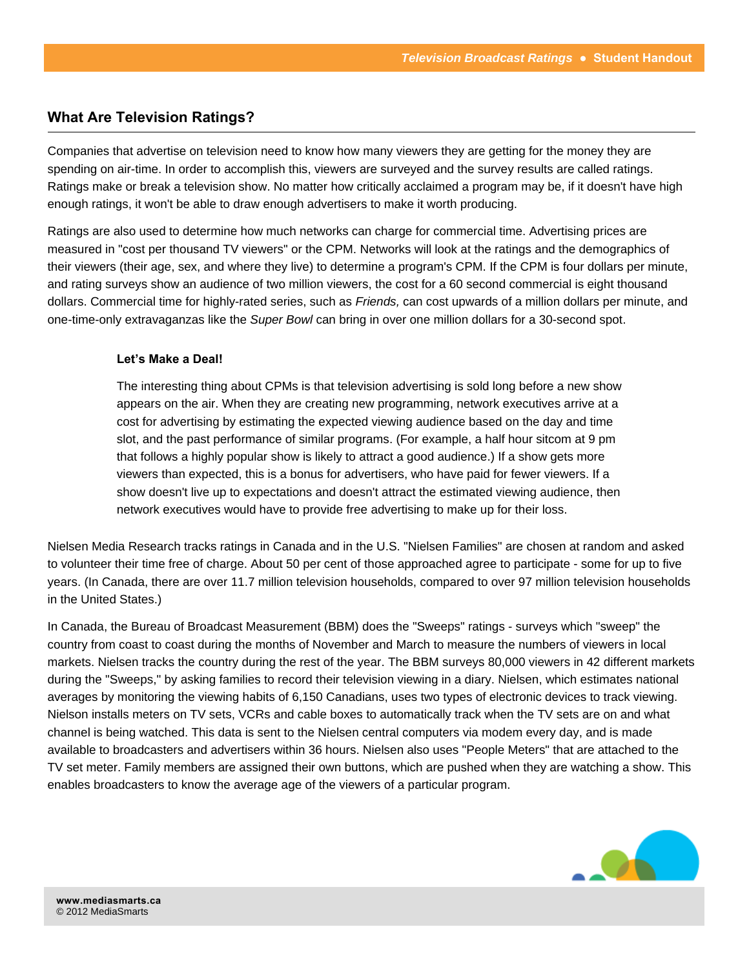# **What Are Television Ratings?**

Companies that advertise on television need to know how many viewers they are getting for the money they are spending on air-time. In order to accomplish this, viewers are surveyed and the survey results are called ratings. Ratings make or break a television show. No matter how critically acclaimed a program may be, if it doesn't have high enough ratings, it won't be able to draw enough advertisers to make it worth producing.

Ratings are also used to determine how much networks can charge for commercial time. Advertising prices are measured in "cost per thousand TV viewers" or the CPM. Networks will look at the ratings and the demographics of their viewers (their age, sex, and where they live) to determine a program's CPM. If the CPM is four dollars per minute, and rating surveys show an audience of two million viewers, the cost for a 60 second commercial is eight thousand dollars. Commercial time for highly-rated series, such as *Friends,* can cost upwards of a million dollars per minute, and one-time-only extravaganzas like the *Super Bowl* can bring in over one million dollars for a 30-second spot.

#### **Let's Make a Deal!**

The interesting thing about CPMs is that television advertising is sold long before a new show appears on the air. When they are creating new programming, network executives arrive at a cost for advertising by estimating the expected viewing audience based on the day and time slot, and the past performance of similar programs. (For example, a half hour sitcom at 9 pm that follows a highly popular show is likely to attract a good audience.) If a show gets more viewers than expected, this is a bonus for advertisers, who have paid for fewer viewers. If a show doesn't live up to expectations and doesn't attract the estimated viewing audience, then network executives would have to provide free advertising to make up for their loss.

Nielsen Media Research tracks ratings in Canada and in the U.S. "Nielsen Families" are chosen at random and asked to volunteer their time free of charge. About 50 per cent of those approached agree to participate - some for up to five years. (In Canada, there are over 11.7 million television households, compared to over 97 million television households in the United States.)

In Canada, the Bureau of Broadcast Measurement (BBM) does the "Sweeps" ratings - surveys which "sweep" the country from coast to coast during the months of November and March to measure the numbers of viewers in local markets. Nielsen tracks the country during the rest of the year. The BBM surveys 80,000 viewers in 42 different markets during the "Sweeps," by asking families to record their television viewing in a diary. Nielsen, which estimates national averages by monitoring the viewing habits of 6,150 Canadians, uses two types of electronic devices to track viewing. Nielson installs meters on TV sets, VCRs and cable boxes to automatically track when the TV sets are on and what channel is being watched. This data is sent to the Nielsen central computers via modem every day, and is made available to broadcasters and advertisers within 36 hours. Nielsen also uses "People Meters" that are attached to the TV set meter. Family members are assigned their own buttons, which are pushed when they are watching a show. This enables broadcasters to know the average age of the viewers of a particular program.

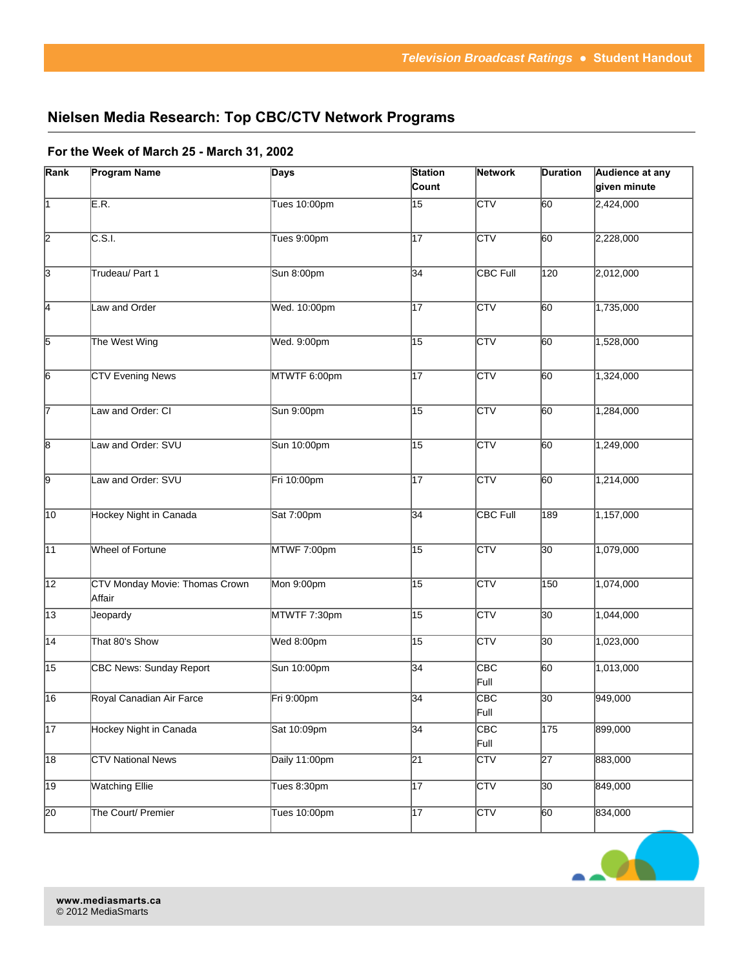# **Nielsen Media Research: Top CBC/CTV Network Programs**

#### **For the Week of March 25 - March 31, 2002**

| Rank                    | <b>Program Name</b>                      | Days                | <b>Station</b>  | <b>Network</b>          | <b>Duration</b>  | Audience at any |
|-------------------------|------------------------------------------|---------------------|-----------------|-------------------------|------------------|-----------------|
|                         |                                          |                     | Count           |                         |                  | given minute    |
| $\overline{1}$          | E.R.                                     | <b>Tues 10:00pm</b> | $\overline{15}$ | $\overline{\text{CTV}}$ | $\overline{60}$  | 2,424,000       |
| $\overline{2}$          | C.S.I.                                   | Tues 9:00pm         | 17              | <b>CTV</b>              | 60               | 2,228,000       |
| $\overline{\mathbf{3}}$ | Trudeau/ Part 1                          | Sun 8:00pm          | 34              | CBC Full                | $\overline{120}$ | 2,012,000       |
| $\overline{\mathsf{4}}$ | Law and Order                            | Wed. 10:00pm        | $\overline{17}$ | $\overline{\text{CTV}}$ | 60               | 1,735,000       |
| 5                       | The West Wing                            | Wed. 9:00pm         | 15              | <b>CTV</b>              | 60               | 1,528,000       |
| $\overline{6}$          | <b>CTV Evening News</b>                  | MTWTF 6:00pm        | 17              | <b>CTV</b>              | 60               | 1,324,000       |
| 7                       | Law and Order: CI                        | Sun 9:00pm          | 15              | $\overline{\text{CTV}}$ | 60               | 1,284,000       |
| $\overline{\mathsf{8}}$ | Law and Order: SVU                       | Sun 10:00pm         | 15              | <b>CTV</b>              | 60               | 1,249,000       |
| 9                       | Law and Order: SVU                       | Fri 10:00pm         | 17              | <b>CTV</b>              | $\overline{60}$  | 1,214,000       |
| $\overline{10}$         | <b>Hockey Night in Canada</b>            | Sat 7:00pm          | 34              | <b>CBC Full</b>         | 189              | 1,157,000       |
| $\overline{11}$         | Wheel of Fortune                         | MTWF 7:00pm         | 15              | <b>CTV</b>              | $ 30\rangle$     | 1,079,000       |
| $\overline{12}$         | CTV Monday Movie: Thomas Crown<br>Affair | Mon 9:00pm          | 15              | <b>CTV</b>              | 150              | 1,074,000       |
| $\overline{13}$         | Jeopardy                                 | MTWTF 7:30pm        | 15              | <b>CTV</b>              | $ 30\rangle$     | 1,044,000       |
| $\overline{14}$         | That 80's Show                           | Wed 8:00pm          | 15              | <b>CTV</b>              | $ 30\rangle$     | 1,023,000       |
| $\overline{15}$         | <b>CBC News: Sunday Report</b>           | Sun 10:00pm         | 34              | CBC<br>Full             | 60               | 1,013,000       |
| 16                      | Royal Canadian Air Farce                 | Fri 9:00pm          | 34              | CBC<br>Full             | $\overline{30}$  | 949,000         |
| $\sqrt{17}$             | Hockey Night in Canada                   | Sat 10:09pm         | 34              | CBC<br>Full             | $\overline{175}$ | 899,000         |
| $\overline{18}$         | <b>CTV National News</b>                 | Daily 11:00pm       | $\overline{21}$ | <b>CTV</b>              | $\overline{27}$  | 883,000         |
| $\overline{19}$         | <b>Watching Ellie</b>                    | Tues 8:30pm         | $\overline{17}$ | $\overline{\text{CTV}}$ | $\overline{30}$  | 849,000         |
| $\overline{20}$         | The Court/ Premier                       | Tues 10:00pm        | $\overline{17}$ | <b>CTV</b>              | $\overline{60}$  | 834,000         |

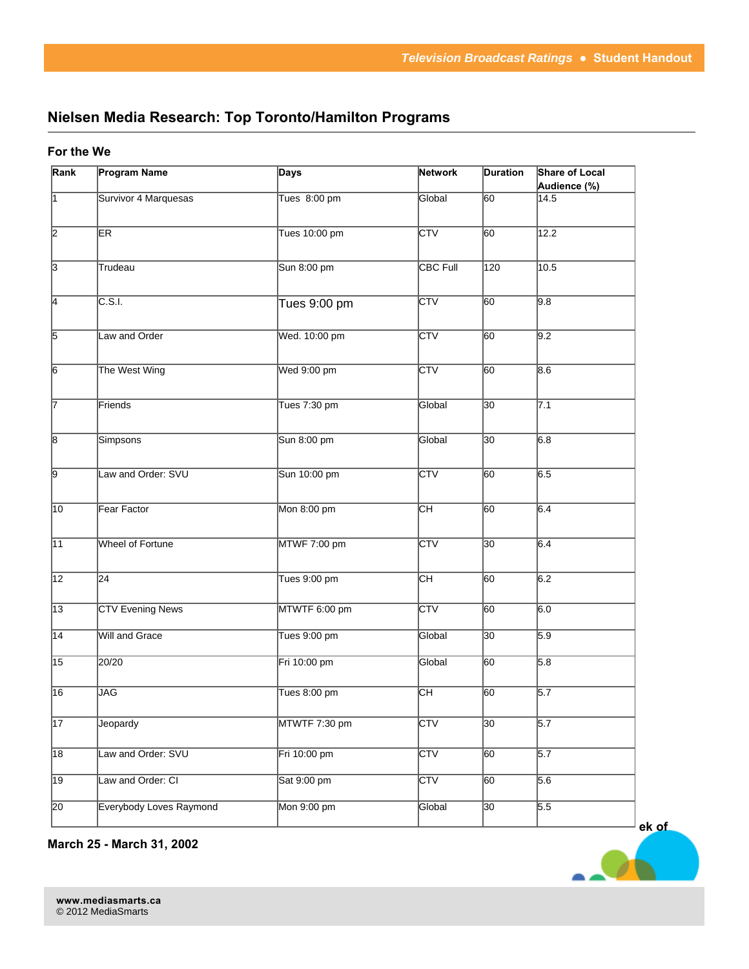# **Nielsen Media Research: Top Toronto/Hamilton Programs**

#### **For the We**

| Rank            | <b>Program Name</b>     | <b>Days</b>   | <b>Network</b>  | <b>Duration</b> | Share of Local       |
|-----------------|-------------------------|---------------|-----------------|-----------------|----------------------|
| π               | Survivor 4 Marquesas    | Tues 8:00 pm  | Global          | 60              | Audience (%)<br>14.5 |
|                 |                         |               |                 |                 |                      |
| $\overline{2}$  | ER                      | Tues 10:00 pm | CTV             | 60              | 12.2                 |
|                 |                         |               |                 |                 |                      |
| $\overline{3}$  | Trudeau                 | Sun 8:00 pm   | <b>CBC Full</b> | 120             | 10.5                 |
|                 |                         |               |                 |                 |                      |
| $\overline{4}$  | C.S.I.                  | Tues 9:00 pm  | <b>CTV</b>      | 60              | 9.8                  |
|                 |                         |               |                 |                 |                      |
| $\overline{5}$  | Law and Order           | Wed. 10:00 pm | <b>CTV</b>      | 60              | 9.2                  |
|                 |                         |               |                 |                 |                      |
| $\overline{6}$  | The West Wing           | Wed 9:00 pm   | <b>CTV</b>      | 60              | 8.6                  |
|                 |                         |               |                 |                 |                      |
| 17              | Friends                 | Tues 7:30 pm  | Global          | $ 30\rangle$    | 7.1                  |
|                 |                         |               |                 |                 |                      |
| $\sqrt{8}$      | Simpsons                | Sun 8:00 pm   | Global          | 30              | 6.8                  |
|                 |                         |               |                 |                 |                      |
| $\overline{9}$  | Law and Order: SVU      | Sun 10:00 pm  | <b>CTV</b>      | 60              | 6.5                  |
|                 |                         |               |                 |                 |                      |
| 10              | Fear Factor             | Mon 8:00 pm   | Cн              | 60              | 6.4                  |
|                 |                         |               |                 |                 |                      |
| $\overline{11}$ | Wheel of Fortune        | MTWF 7:00 pm  | <b>CTV</b>      | 30              | 6.4                  |
|                 |                         |               |                 |                 |                      |
| $\overline{12}$ | 24                      | Tues 9:00 pm  | Cн              | 60              | 6.2                  |
|                 |                         |               |                 |                 |                      |
| $\overline{13}$ | <b>CTV Evening News</b> | MTWTF 6:00 pm | <b>CTV</b>      | 60              | 6.0                  |
| $\overline{14}$ | <b>Will and Grace</b>   | Tues 9:00 pm  | Global          | 30              | 5.9                  |
|                 |                         |               |                 |                 |                      |
| $\overline{15}$ | $\sqrt{20/20}$          | Fri 10:00 pm  | Global          | 60              | 5.8                  |
| 16              | JAG                     | Tues 8:00 pm  | Cн              | 60              | 5.7                  |
|                 |                         |               |                 |                 |                      |
| $\overline{17}$ | Jeopardy                | MTWTF 7:30 pm | <b>CTV</b>      | $\overline{30}$ | 5.7                  |
|                 |                         |               |                 |                 |                      |
| $\overline{18}$ | Law and Order: SVU      | Fri 10:00 pm  | <b>CTV</b>      | 60              | 5.7                  |
| $\overline{19}$ |                         |               | <b>CTV</b>      |                 | 5.6                  |
|                 | Law and Order: CI       | Sat 9:00 pm   |                 | 60              |                      |
| $\overline{20}$ | Everybody Loves Raymond | Mon 9:00 pm   | Global          | $ 30\rangle$    | 5.5                  |
|                 |                         |               |                 |                 |                      |

**March 25 - March 31, 2002**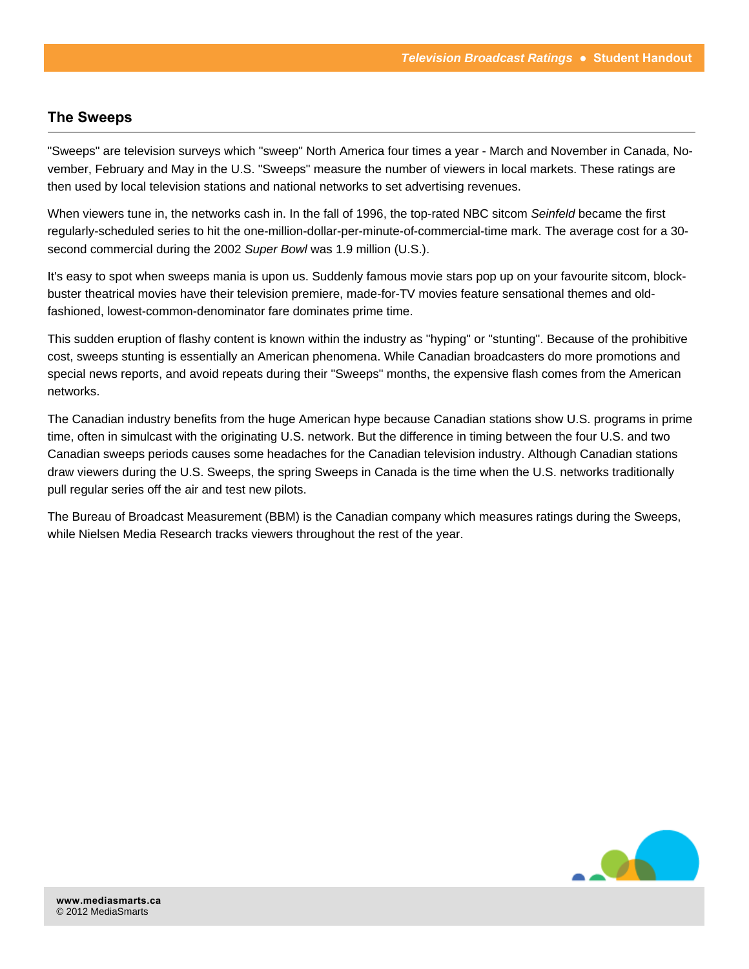# **The Sweeps**

"Sweeps" are television surveys which "sweep" North America four times a year - March and November in Canada, November, February and May in the U.S. "Sweeps" measure the number of viewers in local markets. These ratings are then used by local television stations and national networks to set advertising revenues.

When viewers tune in, the networks cash in. In the fall of 1996, the top-rated NBC sitcom *Seinfeld* became the first regularly-scheduled series to hit the one-million-dollar-per-minute-of-commercial-time mark. The average cost for a 30 second commercial during the 2002 *Super Bowl* was 1.9 million (U.S.).

It's easy to spot when sweeps mania is upon us. Suddenly famous movie stars pop up on your favourite sitcom, blockbuster theatrical movies have their television premiere, made-for-TV movies feature sensational themes and oldfashioned, lowest-common-denominator fare dominates prime time.

This sudden eruption of flashy content is known within the industry as "hyping" or "stunting". Because of the prohibitive cost, sweeps stunting is essentially an American phenomena. While Canadian broadcasters do more promotions and special news reports, and avoid repeats during their "Sweeps" months, the expensive flash comes from the American networks.

The Canadian industry benefits from the huge American hype because Canadian stations show U.S. programs in prime time, often in simulcast with the originating U.S. network. But the difference in timing between the four U.S. and two Canadian sweeps periods causes some headaches for the Canadian television industry. Although Canadian stations draw viewers during the U.S. Sweeps, the spring Sweeps in Canada is the time when the U.S. networks traditionally pull regular series off the air and test new pilots.

The Bureau of Broadcast Measurement (BBM) is the Canadian company which measures ratings during the Sweeps, while Nielsen Media Research tracks viewers throughout the rest of the year.

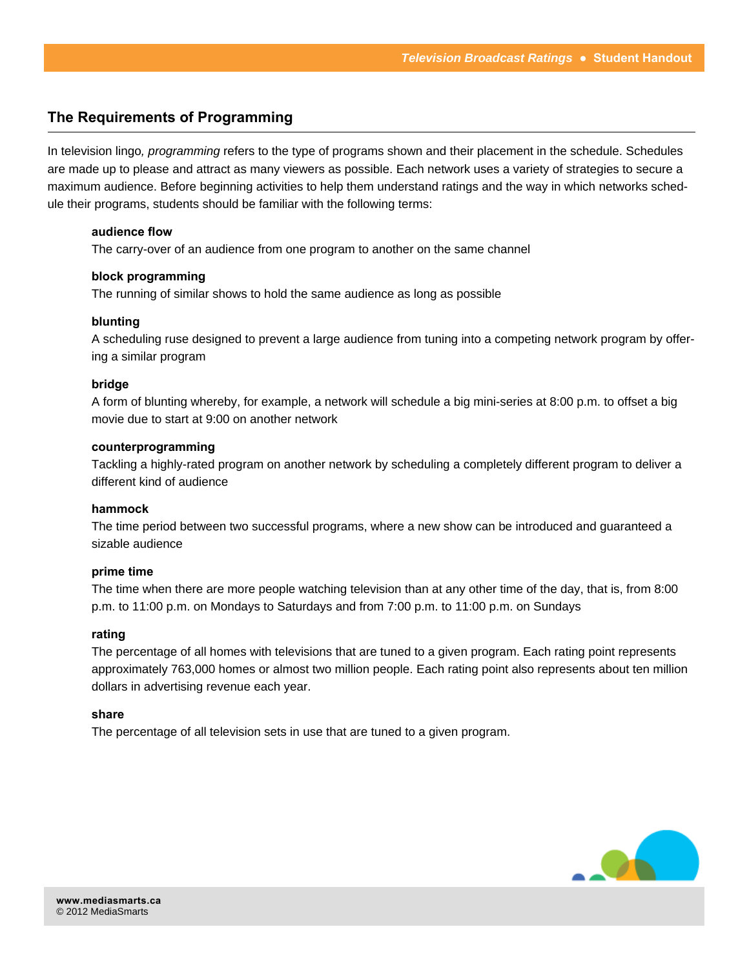## **The Requirements of Programming**

In television lingo*, programming* refers to the type of programs shown and their placement in the schedule. Schedules are made up to please and attract as many viewers as possible. Each network uses a variety of strategies to secure a maximum audience. Before beginning activities to help them understand ratings and the way in which networks schedule their programs, students should be familiar with the following terms:

#### **audience flow**

The carry-over of an audience from one program to another on the same channel

#### **block programming**

The running of similar shows to hold the same audience as long as possible

#### **blunting**

A scheduling ruse designed to prevent a large audience from tuning into a competing network program by offering a similar program

#### **bridge**

A form of blunting whereby, for example, a network will schedule a big mini-series at 8:00 p.m. to offset a big movie due to start at 9:00 on another network

#### **counterprogramming**

Tackling a highly-rated program on another network by scheduling a completely different program to deliver a different kind of audience

#### **hammock**

The time period between two successful programs, where a new show can be introduced and guaranteed a sizable audience

#### **prime time**

The time when there are more people watching television than at any other time of the day, that is, from 8:00 p.m. to 11:00 p.m. on Mondays to Saturdays and from 7:00 p.m. to 11:00 p.m. on Sundays

#### **rating**

The percentage of all homes with televisions that are tuned to a given program. Each rating point represents approximately 763,000 homes or almost two million people. Each rating point also represents about ten million dollars in advertising revenue each year.

#### **share**

The percentage of all television sets in use that are tuned to a given program.